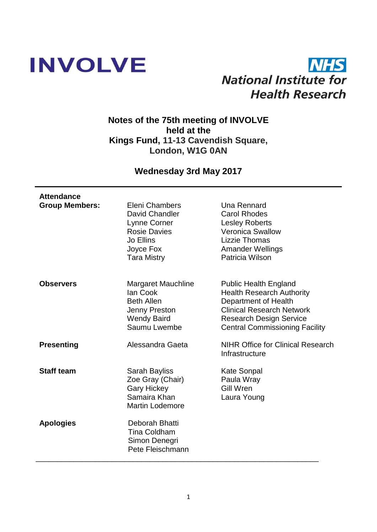



## **Notes of the 75th meeting of INVOLVE held at the Kings Fund, 11-13 Cavendish Square, London, W1G 0AN**

## **Wednesday 3rd May 2017**

| <b>Attendance</b>     |                                                                                                                                |                                                                                                                                                                                                         |
|-----------------------|--------------------------------------------------------------------------------------------------------------------------------|---------------------------------------------------------------------------------------------------------------------------------------------------------------------------------------------------------|
| <b>Group Members:</b> | Eleni Chambers<br>David Chandler<br>Lynne Corner<br><b>Rosie Davies</b><br><b>Jo Ellins</b><br>Joyce Fox<br><b>Tara Mistry</b> | <b>Una Rennard</b><br><b>Carol Rhodes</b><br><b>Lesley Roberts</b><br><b>Veronica Swallow</b><br>Lizzie Thomas<br><b>Amander Wellings</b><br>Patricia Wilson                                            |
| <b>Observers</b>      | <b>Margaret Mauchline</b><br>lan Cook<br><b>Beth Allen</b><br>Jenny Preston<br><b>Wendy Baird</b><br>Saumu Lwembe              | <b>Public Health England</b><br><b>Health Research Authority</b><br>Department of Health<br><b>Clinical Research Network</b><br><b>Research Design Service</b><br><b>Central Commissioning Facility</b> |
| <b>Presenting</b>     | Alessandra Gaeta                                                                                                               | <b>NIHR Office for Clinical Research</b><br>Infrastructure                                                                                                                                              |
| <b>Staff team</b>     | Sarah Bayliss<br>Zoe Gray (Chair)<br><b>Gary Hickey</b><br>Samaira Khan<br><b>Martin Lodemore</b>                              | <b>Kate Sonpal</b><br>Paula Wray<br><b>Gill Wren</b><br>Laura Young                                                                                                                                     |
| <b>Apologies</b>      | Deborah Bhatti<br><b>Tina Coldham</b><br>Simon Denegri<br>Pete Fleischmann                                                     |                                                                                                                                                                                                         |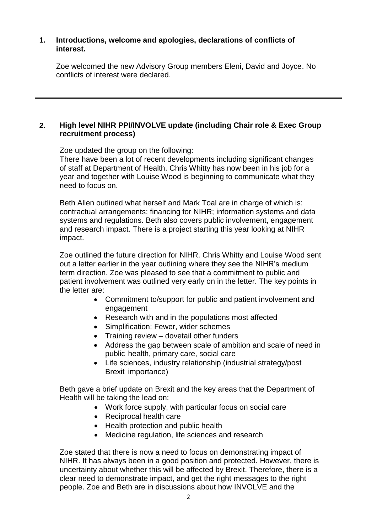### **1. Introductions, welcome and apologies, declarations of conflicts of interest.**

Zoe welcomed the new Advisory Group members Eleni, David and Joyce. No conflicts of interest were declared.

### **2. High level NIHR PPI/INVOLVE update (including Chair role & Exec Group recruitment process)**

Zoe updated the group on the following:

There have been a lot of recent developments including significant changes of staff at Department of Health. Chris Whitty has now been in his job for a year and together with Louise Wood is beginning to communicate what they need to focus on.

Beth Allen outlined what herself and Mark Toal are in charge of which is: contractual arrangements; financing for NIHR; information systems and data systems and regulations. Beth also covers public involvement, engagement and research impact. There is a project starting this year looking at NIHR impact.

Zoe outlined the future direction for NIHR. Chris Whitty and Louise Wood sent out a letter earlier in the year outlining where they see the NIHR's medium term direction. Zoe was pleased to see that a commitment to public and patient involvement was outlined very early on in the letter. The key points in the letter are:

- Commitment to/support for public and patient involvement and engagement
- Research with and in the populations most affected
- Simplification: Fewer, wider schemes
- Training review dovetail other funders
- Address the gap between scale of ambition and scale of need in public health, primary care, social care
- Life sciences, industry relationship (industrial strategy/post Brexit importance)

Beth gave a brief update on Brexit and the key areas that the Department of Health will be taking the lead on:

- Work force supply, with particular focus on social care
- Reciprocal health care
- Health protection and public health
- Medicine regulation, life sciences and research

Zoe stated that there is now a need to focus on demonstrating impact of NIHR. It has always been in a good position and protected. However, there is uncertainty about whether this will be affected by Brexit. Therefore, there is a clear need to demonstrate impact, and get the right messages to the right people. Zoe and Beth are in discussions about how INVOLVE and the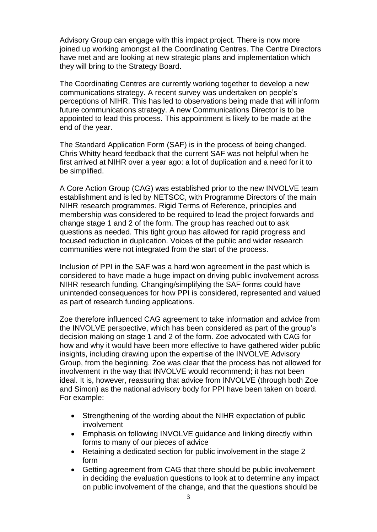Advisory Group can engage with this impact project. There is now more joined up working amongst all the Coordinating Centres. The Centre Directors have met and are looking at new strategic plans and implementation which they will bring to the Strategy Board.

The Coordinating Centres are currently working together to develop a new communications strategy. A recent survey was undertaken on people's perceptions of NIHR. This has led to observations being made that will inform future communications strategy. A new Communications Director is to be appointed to lead this process. This appointment is likely to be made at the end of the year.

The Standard Application Form (SAF) is in the process of being changed. Chris Whitty heard feedback that the current SAF was not helpful when he first arrived at NIHR over a year ago: a lot of duplication and a need for it to be simplified.

A Core Action Group (CAG) was established prior to the new INVOLVE team establishment and is led by NETSCC, with Programme Directors of the main NIHR research programmes. Rigid Terms of Reference, principles and membership was considered to be required to lead the project forwards and change stage 1 and 2 of the form. The group has reached out to ask questions as needed. This tight group has allowed for rapid progress and focused reduction in duplication. Voices of the public and wider research communities were not integrated from the start of the process.

Inclusion of PPI in the SAF was a hard won agreement in the past which is considered to have made a huge impact on driving public involvement across NIHR research funding. Changing/simplifying the SAF forms could have unintended consequences for how PPI is considered, represented and valued as part of research funding applications.

Zoe therefore influenced CAG agreement to take information and advice from the INVOLVE perspective, which has been considered as part of the group's decision making on stage 1 and 2 of the form. Zoe advocated with CAG for how and why it would have been more effective to have gathered wider public insights, including drawing upon the expertise of the INVOLVE Advisory Group, from the beginning. Zoe was clear that the process has not allowed for involvement in the way that INVOLVE would recommend; it has not been ideal. It is, however, reassuring that advice from INVOLVE (through both Zoe and Simon) as the national advisory body for PPI have been taken on board. For example:

- Strengthening of the wording about the NIHR expectation of public involvement
- Emphasis on following INVOLVE guidance and linking directly within forms to many of our pieces of advice
- Retaining a dedicated section for public involvement in the stage 2 form
- Getting agreement from CAG that there should be public involvement in deciding the evaluation questions to look at to determine any impact on public involvement of the change, and that the questions should be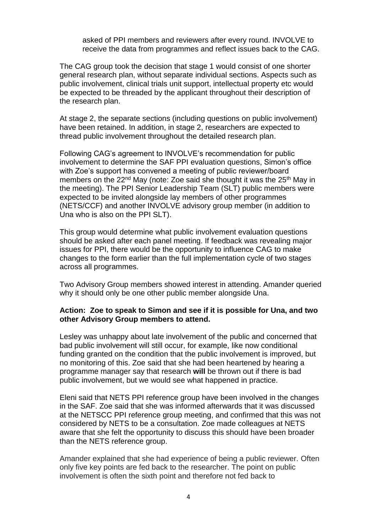asked of PPI members and reviewers after every round. INVOLVE to receive the data from programmes and reflect issues back to the CAG.

The CAG group took the decision that stage 1 would consist of one shorter general research plan, without separate individual sections. Aspects such as public involvement, clinical trials unit support, intellectual property etc would be expected to be threaded by the applicant throughout their description of the research plan.

At stage 2, the separate sections (including questions on public involvement) have been retained. In addition, in stage 2, researchers are expected to thread public involvement throughout the detailed research plan.

Following CAG's agreement to INVOLVE's recommendation for public involvement to determine the SAF PPI evaluation questions, Simon's office with Zoe's support has convened a meeting of public reviewer/board members on the 22<sup>nd</sup> May (note: Zoe said she thought it was the 25<sup>th</sup> May in the meeting). The PPI Senior Leadership Team (SLT) public members were expected to be invited alongside lay members of other programmes (NETS/CCF) and another INVOLVE advisory group member (in addition to Una who is also on the PPI SLT).

This group would determine what public involvement evaluation questions should be asked after each panel meeting. If feedback was revealing major issues for PPI, there would be the opportunity to influence CAG to make changes to the form earlier than the full implementation cycle of two stages across all programmes.

Two Advisory Group members showed interest in attending. Amander queried why it should only be one other public member alongside Una.

### **Action: Zoe to speak to Simon and see if it is possible for Una, and two other Advisory Group members to attend.**

Lesley was unhappy about late involvement of the public and concerned that bad public involvement will still occur, for example, like now conditional funding granted on the condition that the public involvement is improved, but no monitoring of this. Zoe said that she had been heartened by hearing a programme manager say that research **will** be thrown out if there is bad public involvement, but we would see what happened in practice.

Eleni said that NETS PPI reference group have been involved in the changes in the SAF. Zoe said that she was informed afterwards that it was discussed at the NETSCC PPI reference group meeting, and confirmed that this was not considered by NETS to be a consultation. Zoe made colleagues at NETS aware that she felt the opportunity to discuss this should have been broader than the NETS reference group.

Amander explained that she had experience of being a public reviewer. Often only five key points are fed back to the researcher. The point on public involvement is often the sixth point and therefore not fed back to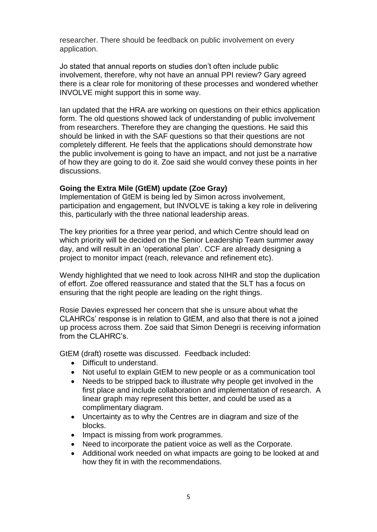researcher. There should be feedback on public involvement on every application.

Jo stated that annual reports on studies don't often include public involvement, therefore, why not have an annual PPI review? Gary agreed there is a clear role for monitoring of these processes and wondered whether INVOLVE might support this in some way.

Ian updated that the HRA are working on questions on their ethics application form. The old questions showed lack of understanding of public involvement from researchers. Therefore they are changing the questions. He said this should be linked in with the SAF questions so that their questions are not completely different. He feels that the applications should demonstrate how the public involvement is going to have an impact, and not just be a narrative of how they are going to do it. Zoe said she would convey these points in her discussions.

### **Going the Extra Mile (GtEM) update (Zoe Gray)**

Implementation of GtEM is being led by Simon across involvement, participation and engagement, but INVOLVE is taking a key role in delivering this, particularly with the three national leadership areas.

The key priorities for a three year period, and which Centre should lead on which priority will be decided on the Senior Leadership Team summer away day, and will result in an 'operational plan'. CCF are already designing a project to monitor impact (reach, relevance and refinement etc).

Wendy highlighted that we need to look across NIHR and stop the duplication of effort. Zoe offered reassurance and stated that the SLT has a focus on ensuring that the right people are leading on the right things.

Rosie Davies expressed her concern that she is unsure about what the CLAHRCs' response is in relation to GtEM, and also that there is not a joined up process across them. Zoe said that Simon Denegri is receiving information from the CLAHRC's.

GtEM (draft) rosette was discussed. Feedback included:

- Difficult to understand.
- Not useful to explain GtEM to new people or as a communication tool
- Needs to be stripped back to illustrate why people get involved in the first place and include collaboration and implementation of research. A linear graph may represent this better, and could be used as a complimentary diagram.
- Uncertainty as to why the Centres are in diagram and size of the blocks.
- Impact is missing from work programmes.
- Need to incorporate the patient voice as well as the Corporate.
- Additional work needed on what impacts are going to be looked at and how they fit in with the recommendations.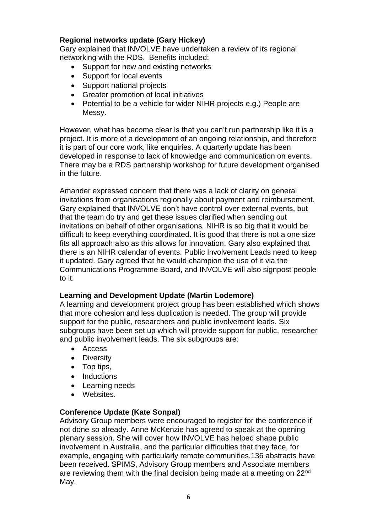## **Regional networks update (Gary Hickey)**

Gary explained that INVOLVE have undertaken a review of its regional networking with the RDS. Benefits included:

- Support for new and existing networks
- Support for local events
- Support national projects
- Greater promotion of local initiatives
- Potential to be a vehicle for wider NIHR projects e.g.) People are Messy.

However, what has become clear is that you can't run partnership like it is a project. It is more of a development of an ongoing relationship, and therefore it is part of our core work, like enquiries. A quarterly update has been developed in response to lack of knowledge and communication on events. There may be a RDS partnership workshop for future development organised in the future.

Amander expressed concern that there was a lack of clarity on general invitations from organisations regionally about payment and reimbursement. Gary explained that INVOLVE don't have control over external events, but that the team do try and get these issues clarified when sending out invitations on behalf of other organisations. NIHR is so big that it would be difficult to keep everything coordinated. It is good that there is not a one size fits all approach also as this allows for innovation. Gary also explained that there is an NIHR calendar of events. Public Involvement Leads need to keep it updated. Gary agreed that he would champion the use of it via the Communications Programme Board, and INVOLVE will also signpost people to it.

### **Learning and Development Update (Martin Lodemore)**

A learning and development project group has been established which shows that more cohesion and less duplication is needed. The group will provide support for the public, researchers and public involvement leads. Six subgroups have been set up which will provide support for public, researcher and public involvement leads. The six subgroups are:

- Access
- Diversity
- Top tips,
- Inductions
- Learning needs
- Websites.

## **Conference Update (Kate Sonpal)**

Advisory Group members were encouraged to register for the conference if not done so already. Anne McKenzie has agreed to speak at the opening plenary session. She will cover how INVOLVE has helped shape public involvement in Australia, and the particular difficulties that they face, for example, engaging with particularly remote communities.136 abstracts have been received. SPIMS, Advisory Group members and Associate members are reviewing them with the final decision being made at a meeting on 22<sup>nd</sup> May.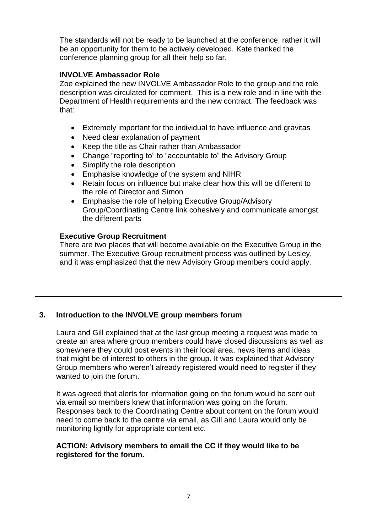The standards will not be ready to be launched at the conference, rather it will be an opportunity for them to be actively developed. Kate thanked the conference planning group for all their help so far.

## **INVOLVE Ambassador Role**

Zoe explained the new INVOLVE Ambassador Role to the group and the role description was circulated for comment. This is a new role and in line with the Department of Health requirements and the new contract. The feedback was that:

- Extremely important for the individual to have influence and gravitas
- Need clear explanation of payment
- Keep the title as Chair rather than Ambassador
- Change "reporting to" to "accountable to" the Advisory Group
- Simplify the role description
- Emphasise knowledge of the system and NIHR
- Retain focus on influence but make clear how this will be different to the role of Director and Simon
- Emphasise the role of helping Executive Group/Advisory Group/Coordinating Centre link cohesively and communicate amongst the different parts

### **Executive Group Recruitment**

There are two places that will become available on the Executive Group in the summer. The Executive Group recruitment process was outlined by Lesley, and it was emphasized that the new Advisory Group members could apply.

## **3. Introduction to the INVOLVE group members forum**

Laura and Gill explained that at the last group meeting a request was made to create an area where group members could have closed discussions as well as somewhere they could post events in their local area, news items and ideas that might be of interest to others in the group. It was explained that Advisory Group members who weren't already registered would need to register if they wanted to join the forum.

It was agreed that alerts for information going on the forum would be sent out via email so members knew that information was going on the forum. Responses back to the Coordinating Centre about content on the forum would need to come back to the centre via email, as Gill and Laura would only be monitoring lightly for appropriate content etc.

### **ACTION: Advisory members to email the CC if they would like to be registered for the forum.**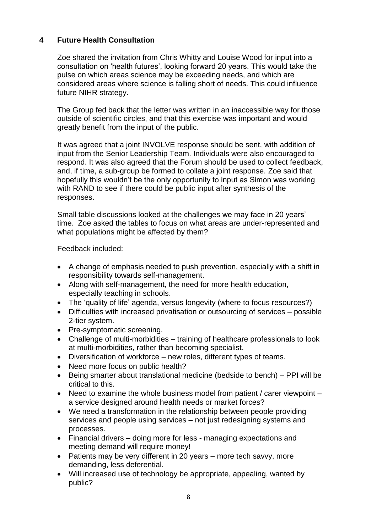## **4 Future Health Consultation**

Zoe shared the invitation from Chris Whitty and Louise Wood for input into a consultation on 'health futures', looking forward 20 years. This would take the pulse on which areas science may be exceeding needs, and which are considered areas where science is falling short of needs. This could influence future NIHR strategy.

The Group fed back that the letter was written in an inaccessible way for those outside of scientific circles, and that this exercise was important and would greatly benefit from the input of the public.

It was agreed that a joint INVOLVE response should be sent, with addition of input from the Senior Leadership Team. Individuals were also encouraged to respond. It was also agreed that the Forum should be used to collect feedback, and, if time, a sub-group be formed to collate a joint response. Zoe said that hopefully this wouldn't be the only opportunity to input as Simon was working with RAND to see if there could be public input after synthesis of the responses.

Small table discussions looked at the challenges we may face in 20 years' time. Zoe asked the tables to focus on what areas are under-represented and what populations might be affected by them?

Feedback included:

- A change of emphasis needed to push prevention, especially with a shift in responsibility towards self-management.
- Along with self-management, the need for more health education, especially teaching in schools.
- The 'quality of life' agenda, versus longevity (where to focus resources?)
- Difficulties with increased privatisation or outsourcing of services possible 2-tier system.
- Pre-symptomatic screening.
- Challenge of multi-morbidities training of healthcare professionals to look at multi-morbidities, rather than becoming specialist.
- Diversification of workforce new roles, different types of teams.
- Need more focus on public health?
- Being smarter about translational medicine (bedside to bench) PPI will be critical to this.
- Need to examine the whole business model from patient / carer viewpoint a service designed around health needs or market forces?
- We need a transformation in the relationship between people providing services and people using services – not just redesigning systems and processes.
- Financial drivers doing more for less managing expectations and meeting demand will require money!
- Patients may be very different in 20 years more tech savvy, more demanding, less deferential.
- Will increased use of technology be appropriate, appealing, wanted by public?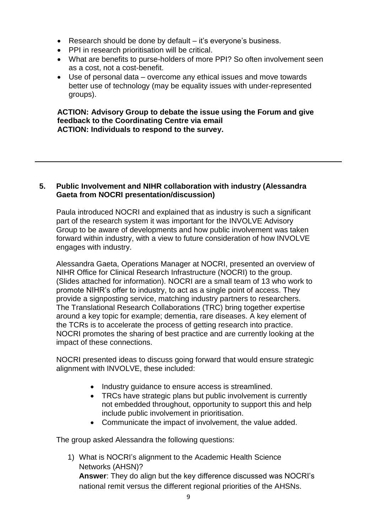- Research should be done by default it's everyone's business.
- PPI in research prioritisation will be critical.
- What are benefits to purse-holders of more PPI? So often involvement seen as a cost, not a cost-benefit.
- Use of personal data overcome any ethical issues and move towards better use of technology (may be equality issues with under-represented groups).

# **ACTION: Advisory Group to debate the issue using the Forum and give feedback to the Coordinating Centre via email**

**ACTION: Individuals to respond to the survey.**

### **5. Public Involvement and NIHR collaboration with industry (Alessandra Gaeta from NOCRI presentation/discussion)**

Paula introduced NOCRI and explained that as industry is such a significant part of the research system it was important for the INVOLVE Advisory Group to be aware of developments and how public involvement was taken forward within industry, with a view to future consideration of how INVOLVE engages with industry.

Alessandra Gaeta, Operations Manager at NOCRI, presented an overview of NIHR Office for Clinical Research Infrastructure (NOCRI) to the group. (Slides attached for information). NOCRI are a small team of 13 who work to promote NIHR's offer to industry, to act as a single point of access. They provide a signposting service, matching industry partners to researchers. The Translational Research Collaborations (TRC) bring together expertise around a key topic for example; dementia, rare diseases. A key element of the TCRs is to accelerate the process of getting research into practice. NOCRI promotes the sharing of best practice and are currently looking at the impact of these connections.

NOCRI presented ideas to discuss going forward that would ensure strategic alignment with INVOLVE, these included:

- Industry quidance to ensure access is streamlined.
- TRCs have strategic plans but public involvement is currently not embedded throughout, opportunity to support this and help include public involvement in prioritisation.
- Communicate the impact of involvement, the value added.

The group asked Alessandra the following questions:

1) What is NOCRI's alignment to the Academic Health Science Networks (AHSN)? **Answer**: They do align but the key difference discussed was NOCRI's national remit versus the different regional priorities of the AHSNs.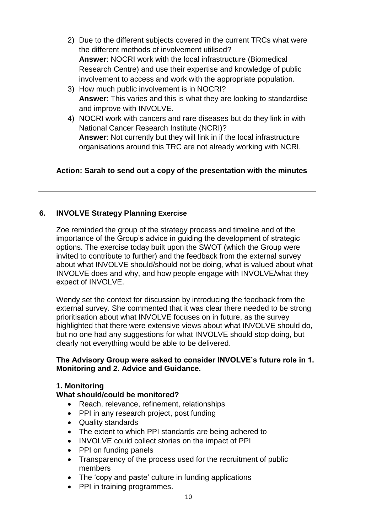- 2) Due to the different subjects covered in the current TRCs what were the different methods of involvement utilised? **Answer**: NOCRI work with the local infrastructure (Biomedical Research Centre) and use their expertise and knowledge of public involvement to access and work with the appropriate population.
- 3) How much public involvement is in NOCRI? **Answer**: This varies and this is what they are looking to standardise and improve with INVOLVE.
- 4) NOCRI work with cancers and rare diseases but do they link in with National Cancer Research Institute (NCRI)? **Answer**: Not currently but they will link in if the local infrastructure organisations around this TRC are not already working with NCRI.

## **Action: Sarah to send out a copy of the presentation with the minutes**

## **6. INVOLVE Strategy Planning Exercise**

Zoe reminded the group of the strategy process and timeline and of the importance of the Group's advice in guiding the development of strategic options. The exercise today built upon the SWOT (which the Group were invited to contribute to further) and the feedback from the external survey about what INVOLVE should/should not be doing, what is valued about what INVOLVE does and why, and how people engage with INVOLVE/what they expect of INVOLVE.

Wendy set the context for discussion by introducing the feedback from the external survey. She commented that it was clear there needed to be strong prioritisation about what INVOLVE focuses on in future, as the survey highlighted that there were extensive views about what INVOLVE should do, but no one had any suggestions for what INVOLVE should stop doing, but clearly not everything would be able to be delivered.

### **The Advisory Group were asked to consider INVOLVE's future role in 1. Monitoring and 2. Advice and Guidance.**

#### **1. Monitoring**

### **What should/could be monitored?**

- Reach, relevance, refinement, relationships
- PPI in any research project, post funding
- Quality standards
- The extent to which PPI standards are being adhered to
- INVOLVE could collect stories on the impact of PPI
- PPI on funding panels
- Transparency of the process used for the recruitment of public members
- The 'copy and paste' culture in funding applications
- PPI in training programmes.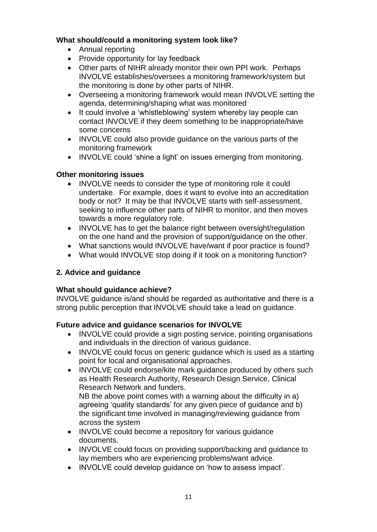## **What should/could a monitoring system look like?**

- Annual reporting
- Provide opportunity for lay feedback
- Other parts of NIHR already monitor their own PPI work. Perhaps INVOLVE establishes/oversees a monitoring framework/system but the monitoring is done by other parts of NIHR.
- Overseeing a monitoring framework would mean INVOLVE setting the agenda, determining/shaping what was monitored
- It could involve a 'whistleblowing' system whereby lay people can contact INVOLVE if they deem something to be inappropriate/have some concerns
- INVOLVE could also provide guidance on the various parts of the monitoring framework
- INVOLVE could 'shine a light' on issues emerging from monitoring.

## **Other monitoring issues**

- INVOLVE needs to consider the type of monitoring role it could undertake. For example, does it want to evolve into an accreditation body or not? It may be that INVOLVE starts with self-assessment, seeking to influence other parts of NIHR to monitor, and then moves towards a more regulatory role.
- INVOLVE has to get the balance right between oversight/regulation on the one hand and the provision of support/guidance on the other.
- What sanctions would INVOLVE have/want if poor practice is found?
- What would INVOLVE stop doing if it took on a monitoring function?

## **2. Advice and guidance**

### **What should guidance achieve?**

INVOLVE guidance is/and should be regarded as authoritative and there is a strong public perception that INVOLVE should take a lead on guidance.

### **Future advice and guidance scenarios for INVOLVE**

- INVOLVE could provide a sign posting service, pointing organisations and individuals in the direction of various guidance.
- INVOLVE could focus on generic guidance which is used as a starting point for local and organisational approaches.
- INVOLVE could endorse/kite mark guidance produced by others such as Health Research Authority, Research Design Service, Clinical Research Network and funders.

NB the above point comes with a warning about the difficulty in a) agreeing 'quality standards' for any given piece of guidance and b) the significant time involved in managing/reviewing guidance from across the system

- INVOLVE could become a repository for various quidance documents.
- INVOLVE could focus on providing support/backing and guidance to lay members who are experiencing problems/want advice.
- INVOLVE could develop guidance on 'how to assess impact'.